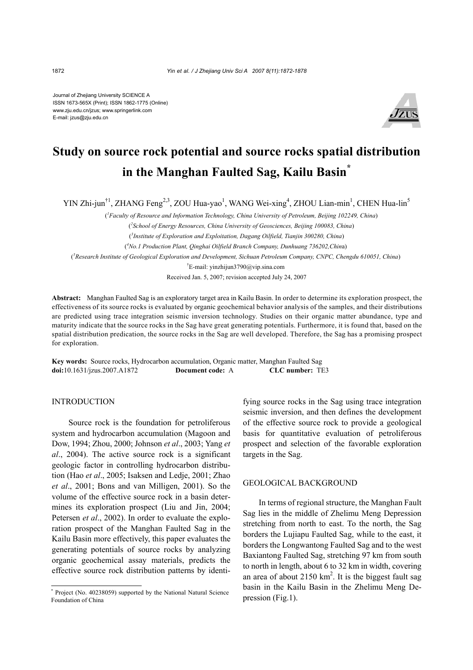Journal of Zhejiang University SCIENCE A ISSN 1673-565X (Print); ISSN 1862-1775 (Online) www.zju.edu.cn/jzus; www.springerlink.com E-mail: jzus@zju.edu.cn



# **Study on source rock potential and source rocks spatial distribution in the Manghan Faulted Sag, Kailu Basin\***

YIN Zhi-jun<sup>†1</sup>, ZHANG Feng<sup>2,3</sup>, ZOU Hua-yao<sup>1</sup>, WANG Wei-xing<sup>4</sup>, ZHOU Lian-min<sup>1</sup>, CHEN Hua-lin<sup>5</sup>

( *1 Faculty of Resource and Information Technology, China University of Petroleum, Beijing 102249, China*)

( *2 School of Energy Resources, China University of Geosciences, Beijing 100083, China*)

( *3 Institute of Exploration and Exploitation, Dagang Oilfield, Tianjin 300280, China*)

( *4 No.1 Production Plant, Qinghai Oilfield Branch Company, Dunhuang 736202,Chin*a)

( *5 Research Institute of Geological Exploration and Development, Sichuan Petroleum Company, CNPC, Chengdu 610051, China*)

† E-mail: yinzhijun3790@vip.sina.com

Received Jan. 5, 2007; revision accepted July 24, 2007

**Abstract:** Manghan Faulted Sag is an exploratory target area in Kailu Basin. In order to determine its exploration prospect, the effectiveness of its source rocks is evaluated by organic geochemical behavior analysis of the samples, and their distributions are predicted using trace integration seismic inversion technology. Studies on their organic matter abundance, type and maturity indicate that the source rocks in the Sag have great generating potentials. Furthermore, it is found that, based on the spatial distribution predication, the source rocks in the Sag are well developed. Therefore, the Sag has a promising prospect for exploration.

**Key words:** Source rocks, Hydrocarbon accumulation, Organic matter, Manghan Faulted Sag **doi:**10.1631/jzus.2007.A1872 **Document code:** A **CLC number:** TE3

#### INTRODUCTION

Source rock is the foundation for petroliferous system and hydrocarbon accumulation (Magoon and Dow, 1994; Zhou, 2000; Johnson *et al*., 2003; Yang *et al*., 2004). The active source rock is a significant geologic factor in controlling hydrocarbon distribution (Hao *et al*., 2005; Isaksen and Ledje, 2001; Zhao *et al*., 2001; Bons and van Milligen, 2001). So the volume of the effective source rock in a basin determines its exploration prospect (Liu and Jin, 2004; Petersen *et al*., 2002). In order to evaluate the exploration prospect of the Manghan Faulted Sag in the Kailu Basin more effectively, this paper evaluates the generating potentials of source rocks by analyzing organic geochemical assay materials, predicts the effective source rock distribution patterns by identifying source rocks in the Sag using trace integration seismic inversion, and then defines the development of the effective source rock to provide a geological basis for quantitative evaluation of petroliferous prospect and selection of the favorable exploration targets in the Sag.

## GEOLOGICAL BACKGROUND

In terms of regional structure, the Manghan Fault Sag lies in the middle of Zhelimu Meng Depression stretching from north to east. To the north, the Sag borders the Lujiapu Faulted Sag, while to the east, it borders the Longwantong Faulted Sag and to the west Baxiantong Faulted Sag, stretching 97 km from south to north in length, about 6 to 32 km in width, covering an area of about 2150  $km^2$ . It is the biggest fault sag basin in the Kailu Basin in the Zhelimu Meng Depression (Fig.1).

<sup>\*</sup> Project (No. 40238059) supported by the National Natural Science Foundation of China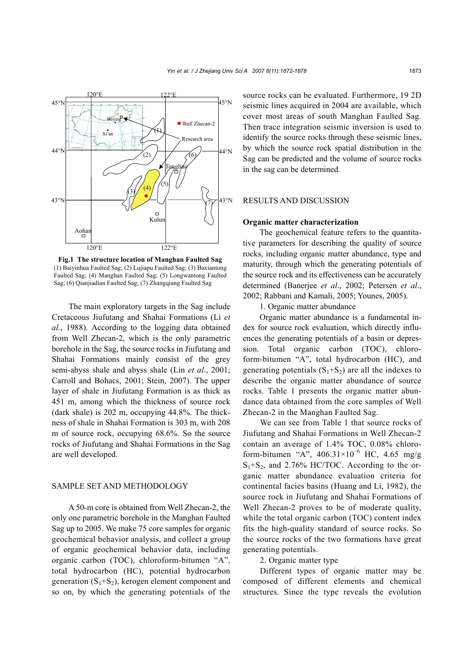

**Fig.1 The structure location of Manghan Faulted Sag** (1) Baiyinhua Faulted Sag; (2) Lujiapu Faulted Sag; (3) Baxiantong Faulted Sag; (4) Manghan Faulted Sag; (5) Longwantong Faulted Sag; (6) Qianjiadian Faulted Sag; (7) Zhangqiang Faulted Sag

The main exploratory targets in the Sag include Cretaceous Jiufutang and Shahai Formations (Li *et al.*, 1988). According to the logging data obtained from Well Zhecan-2, which is the only parametric borehole in the Sag, the source rocks in Jiufutang and Shahai Formations mainly consist of the grey semi-abyss shale and abyss shale (Lin *et al*., 2001; Carroll and Bohacs, 2001; Stein, 2007). The upper layer of shale in Jiufutang Formation is as thick as 451 m, among which the thickness of source rock (dark shale) is 202 m, occupying 44.8%. The thickness of shale in Shahai Formation is 303 m, with 208 m of source rock, occupying 68.6%. So the source rocks of Jiufutang and Shahai Formations in the Sag are well developed.

## SAMPLE SET AND METHODOLOGY

A 50-m core is obtained from Well Zhecan-2, the only one parametric borehole in the Manghan Faulted Sag up to 2005. We make 75 core samples for organic geochemical behavior analysis, and collect a group of organic geochemical behavior data, including organic carbon (TOC), chloroform-bitumen "A", total hydrocarbon (HC), potential hydrocarbon generation  $(S_1+S_2)$ , kerogen element component and so on, by which the generating potentials of the

source rocks can be evaluated. Furthermore, 19 2D seismic lines acquired in 2004 are available, which cover most areas of south Manghan Faulted Sag. Then trace integration seismic inversion is used to identify the source rocks through these seismic lines, by which the source rock spatial distribution in the Sag can be predicted and the volume of source rocks in the sag can be determined.

### RESULTS AND DISCUSSION

#### **Organic matter characterization**

The geochemical feature refers to the quantitative parameters for describing the quality of source rocks, including organic matter abundance, type and maturity, through which the generating potentials of the source rock and its effectiveness can be accurately determined (Banerjee *et al*., 2002; Petersen *et al*., 2002; Rabbani and Kamali, 2005; Younes, 2005).

1. Organic matter abundance

Organic matter abundance is a fundamental index for source rock evaluation, which directly influences the generating potentials of a basin or depression. Total organic carbon (TOC), chloroform-bitumen "A", total hydrocarbon (HC), and generating potentials  $(S_1+S_2)$  are all the indexes to describe the organic matter abundance of source rocks. Table 1 presents the organic matter abundance data obtained from the core samples of Well Zhecan-2 in the Manghan Faulted Sag.

We can see from Table 1 that source rocks of Jiufutang and Shahai Formations in Well Zhecan-2 contain an average of 1.4% TOC, 0.08% chloroform-bitumen "A",  $406.31 \times 10^{-6}$  HC,  $4.65$  mg/g  $S_1 + S_2$ , and 2.76% HC/TOC. According to the organic matter abundance evaluation criteria for continental facies basins (Huang and Li, 1982), the source rock in Jiufutang and Shahai Formations of Well Zhecan-2 proves to be of moderate quality, while the total organic carbon (TOC) content index fits the high-quality standard of source rocks. So the source rocks of the two formations have great generating potentials.

## 2. Organic matter type

Different types of organic matter may be composed of different elements and chemical structures. Since the type reveals the evolution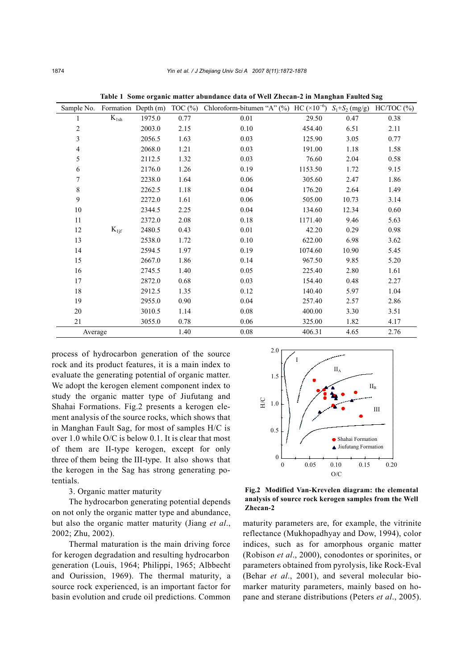| Sample No.     |           | Formation Depth (m) | TOC $(\%)$ | Chloroform-bitumen "A" (%) HC $(\times 10^{-6})$ |         | $S_1 + S_2$ (mg/g) | $HC/TOC$ $(\%)$ |
|----------------|-----------|---------------------|------------|--------------------------------------------------|---------|--------------------|-----------------|
| 1              | $K_{1sh}$ | 1975.0              | 0.77       | 0.01                                             | 29.50   | 0.47               | 0.38            |
| $\overline{c}$ |           | 2003.0              | 2.15       | $0.10\,$                                         | 454.40  | 6.51               | 2.11            |
| 3              |           | 2056.5              | 1.63       | 0.03                                             | 125.90  | 3.05               | 0.77            |
| 4              |           | 2068.0              | 1.21       | 0.03                                             | 191.00  | 1.18               | 1.58            |
| 5              |           | 2112.5              | 1.32       | 0.03                                             | 76.60   | 2.04               | 0.58            |
| 6              |           | 2176.0              | 1.26       | 0.19                                             | 1153.50 | 1.72               | 9.15            |
| 7              |           | 2238.0              | 1.64       | 0.06                                             | 305.60  | 2.47               | 1.86            |
| $\,$ $\,$      |           | 2262.5              | 1.18       | 0.04                                             | 176.20  | 2.64               | 1.49            |
| 9              |           | 2272.0              | 1.61       | 0.06                                             | 505.00  | 10.73              | 3.14            |
| 10             |           | 2344.5              | 2.25       | 0.04                                             | 134.60  | 12.34              | 0.60            |
| 11             |           | 2372.0              | 2.08       | 0.18                                             | 1171.40 | 9.46               | 5.63            |
| 12             | $K_{1if}$ | 2480.5              | 0.43       | $0.01\,$                                         | 42.20   | 0.29               | 0.98            |
| 13             |           | 2538.0              | 1.72       | 0.10                                             | 622.00  | 6.98               | 3.62            |
| 14             |           | 2594.5              | 1.97       | 0.19                                             | 1074.60 | 10.90              | 5.45            |
| 15             |           | 2667.0              | 1.86       | 0.14                                             | 967.50  | 9.85               | 5.20            |
| 16             |           | 2745.5              | 1.40       | 0.05                                             | 225.40  | 2.80               | 1.61            |
| 17             |           | 2872.0              | 0.68       | 0.03                                             | 154.40  | 0.48               | 2.27            |
| 18             |           | 2912.5              | 1.35       | 0.12                                             | 140.40  | 5.97               | 1.04            |
| 19             |           | 2955.0              | 0.90       | 0.04                                             | 257.40  | 2.57               | 2.86            |
| $20\,$         |           | 3010.5              | 1.14       | 0.08                                             | 400.00  | 3.30               | 3.51            |
| 21             |           | 3055.0              | 0.78       | 0.06                                             | 325.00  | 1.82               | 4.17            |
| Average        |           |                     | 1.40       | 0.08                                             | 406.31  | 4.65               | 2.76            |

**Table 1 Some organic matter abundance data of Well Zhecan-2 in Manghan Faulted Sag** 

process of hydrocarbon generation of the source rock and its product features, it is a main index to evaluate the generating potential of organic matter. We adopt the kerogen element component index to study the organic matter type of Jiufutang and Shahai Formations. Fig.2 presents a kerogen element analysis of the source rocks, which shows that in Manghan Fault Sag, for most of samples H/C is over 1.0 while O/C is below 0.1. It is clear that most of them are II-type kerogen, except for only three of them being the III-type. It also shows that the kerogen in the Sag has strong generating potentials.

### 3. Organic matter maturity

The hydrocarbon generating potential depends on not only the organic matter type and abundance, but also the organic matter maturity (Jiang *et al*., 2002; Zhu, 2002).

Thermal maturation is the main driving force for kerogen degradation and resulting hydrocarbon generation (Louis, 1964; Philippi, 1965; Albbecht and Ourission, 1969). The thermal maturity, a source rock experienced, is an important factor for basin evolution and crude oil predictions. Common



**Fig.2 Modified Van-Krevelen diagram: the elemental analysis of source rock kerogen samples from the Well Zhecan-2** 

maturity parameters are, for example, the vitrinite reflectance (Mukhopadhyay and Dow, 1994), color indices, such as for amorphous organic matter (Robison *et al*., 2000), conodontes or sporinites, or parameters obtained from pyrolysis, like Rock-Eval (Behar *et al*., 2001), and several molecular biomarker maturity parameters, mainly based on hopane and sterane distributions (Peters *et al*., 2005).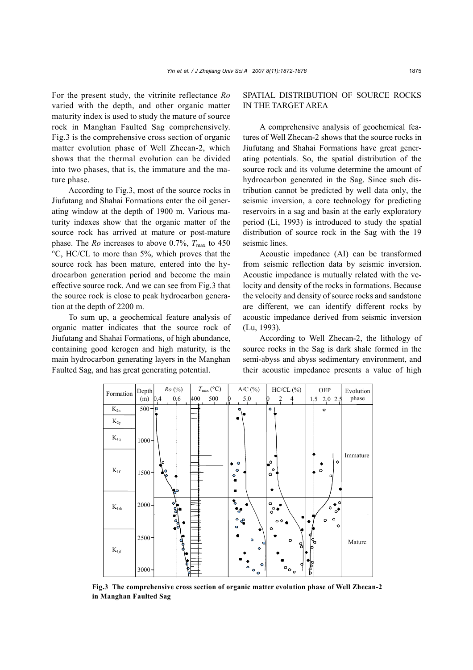For the present study, the vitrinite reflectance *Ro* varied with the depth, and other organic matter maturity index is used to study the mature of source rock in Manghan Faulted Sag comprehensively. Fig.3 is the comprehensive cross section of organic matter evolution phase of Well Zhecan-2, which shows that the thermal evolution can be divided into two phases, that is, the immature and the mature phase.

According to Fig.3, most of the source rocks in Jiufutang and Shahai Formations enter the oil generating window at the depth of 1900 m. Various maturity indexes show that the organic matter of the source rock has arrived at mature or post-mature phase. The *Ro* increases to above 0.7%,  $T_{\text{max}}$  to 450 °C, HC/CL to more than 5%, which proves that the source rock has been mature, entered into the hydrocarbon generation period and become the main effective source rock. And we can see from Fig.3 that the source rock is close to peak hydrocarbon generation at the depth of 2200 m.

To sum up, a geochemical feature analysis of organic matter indicates that the source rock of Jiufutang and Shahai Formations, of high abundance, containing good kerogen and high maturity, is the main hydrocarbon generating layers in the Manghan Faulted Sag, and has great generating potential.

## SPATIAL DISTRIBUTION OF SOURCE ROCKS IN THE TARGET AREA

A comprehensive analysis of geochemical features of Well Zhecan-2 shows that the source rocks in Jiufutang and Shahai Formations have great generating potentials. So, the spatial distribution of the source rock and its volume determine the amount of hydrocarbon generated in the Sag. Since such distribution cannot be predicted by well data only, the seismic inversion, a core technology for predicting reservoirs in a sag and basin at the early exploratory period (Li, 1993) is introduced to study the spatial distribution of source rock in the Sag with the 19 seismic lines.

Acoustic impedance (AI) can be transformed from seismic reflection data by seismic inversion. Acoustic impedance is mutually related with the velocity and density of the rocks in formations. Because the velocity and density of source rocks and sandstone are different, we can identify different rocks by acoustic impedance derived from seismic inversion (Lu, 1993).

According to Well Zhecan-2, the lithology of source rocks in the Sag is dark shale formed in the semi-abyss and abyss sedimentary environment, and their acoustic impedance presents a value of high



**Fig.3 The comprehensive cross section of organic matter evolution phase of Well Zhecan-2 in Manghan Faulted Sag**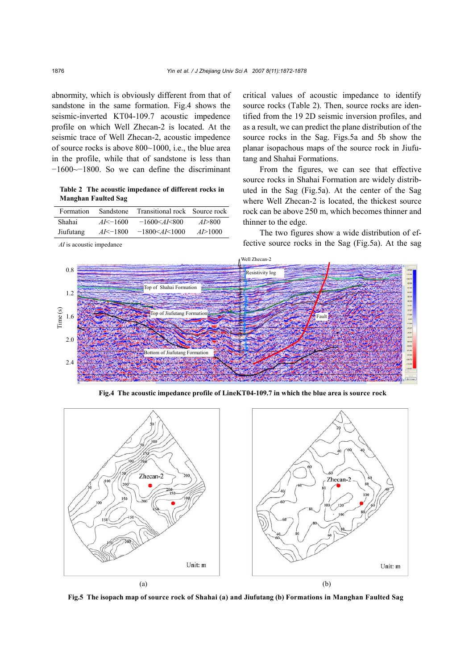abnormity, which is obviously different from that of sandstone in the same formation. Fig.4 shows the seismic-inverted KT04-109.7 acoustic impedence profile on which Well Zhecan-2 is located. At the seismic trace of Well Zhecan-2, acoustic impedence of source rocks is above 800~1000, i.e., the blue area in the profile, while that of sandstone is less than −1600~−1800. So we can define the discriminant

**Table 2 The acoustic impedance of different rocks in Manghan Faulted Sag** 

| Formation | Sandstone    | Transitional rock Source rock      |             |
|-----------|--------------|------------------------------------|-------------|
| Shahai    | $AI < -1600$ | $-1600 \leq A$ <i>I</i> $\leq 800$ | $A$ $>$ 800 |
| Jiufutang | $AI < -1800$ | $-1800 \leq A I \leq 1000$         | AD > 1000   |

*AI* is acoustic impedance

critical values of acoustic impedance to identify source rocks (Table 2). Then, source rocks are identified from the 19 2D seismic inversion profiles, and as a result, we can predict the plane distribution of the source rocks in the Sag. Figs.5a and 5b show the planar isopachous maps of the source rock in Jiufutang and Shahai Formations.

From the figures, we can see that effective source rocks in Shahai Formation are widely distributed in the Sag (Fig.5a). At the center of the Sag where Well Zhecan-2 is located, the thickest source rock can be above 250 m, which becomes thinner and thinner to the edge.

The two figures show a wide distribution of effective source rocks in the Sag (Fig.5a). At the sag



**Fig.4 The acoustic impedance profile of LineKT04-109.7 in which the blue area is source rock**



**Fig.5 The isopach map of source rock of Shahai (a) and Jiufutang (b) Formations in Manghan Faulted Sag**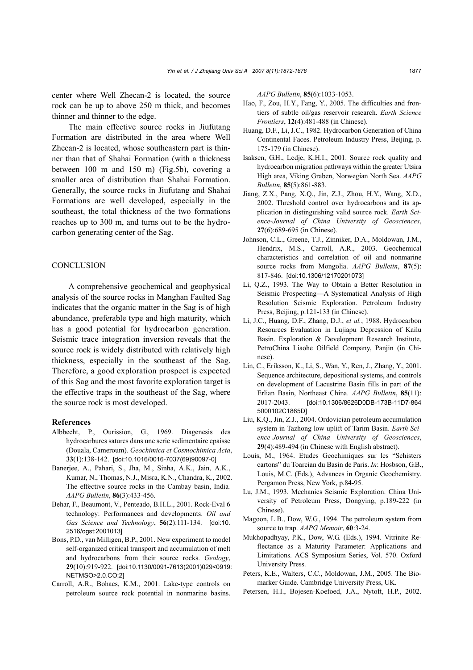center where Well Zhecan-2 is located, the source rock can be up to above 250 m thick, and becomes thinner and thinner to the edge.

The main effective source rocks in Jiufutang Formation are distributed in the area where Well Zhecan-2 is located, whose southeastern part is thinner than that of Shahai Formation (with a thickness between 100 m and 150 m) (Fig.5b), covering a smaller area of distribution than Shahai Formation. Generally, the source rocks in Jiufutang and Shahai Formations are well developed, especially in the southeast, the total thickness of the two formations reaches up to 300 m, and turns out to be the hydrocarbon generating center of the Sag.

## **CONCLUSION**

A comprehensive geochemical and geophysical analysis of the source rocks in Manghan Faulted Sag indicates that the organic matter in the Sag is of high abundance, preferable type and high maturity, which has a good potential for hydrocarbon generation. Seismic trace integration inversion reveals that the source rock is widely distributed with relatively high thickness, especially in the southeast of the Sag. Therefore, a good exploration prospect is expected of this Sag and the most favorite exploration target is the effective traps in the southeast of the Sag, where the source rock is most developed.

#### **References**

- Albbecht, P., Ourission, G., 1969. Diagenesis des hydrocarbures satures dans une serie sedimentaire epaisse (Douala, Cameroum). *Geochimica et Cosmochimica Acta*, **33**(1):138-142. [doi:10.1016/0016-7037(69)90097-0]
- Banerjee, A., Pahari, S., Jha, M., Sinha, A.K., Jain, A.K., Kumar, N., Thomas, N.J., Misra, K.N., Chandra, K., 2002. The effective source rocks in the Cambay basin, India*. AAPG Bulletin*, **86**(3):433-456.
- Behar, F., Beaumont, V., Penteado, B.H.L., 2001. Rock-Eval 6 technology: Performances and developments. *Oil and Gas Science and Technology*, **56**(2):111-134. [doi:10. 2516/ogst:2001013]
- Bons, P.D., van Milligen, B.P., 2001. New experiment to model self-organized critical transport and accumulation of melt and hydrocarbons from their source rocks. *Geology*, **29**(10):919-922. [doi:10.1130/0091-7613(2001)029<0919: NETMSO>2.0.CO;2]
- Carroll, A.R., Bohacs, K.M., 2001. Lake-type controls on petroleum source rock potential in nonmarine basins.

*AAPG Bulletin*, **85**(6):1033-1053.

- Hao, F., Zou, H.Y., Fang, Y., 2005. The difficulties and frontiers of subtle oil/gas reservoir research. *Earth Science Frontiers*, **12**(4):481-488 (in Chinese).
- Huang, D.F., Li, J.C., 1982. Hydrocarbon Generation of China Continental Faces. Petroleum Industry Press, Beijing, p. 175-179 (in Chinese).
- Isaksen, G.H., Ledje, K.H.I., 2001. Source rock quality and hydrocarbon migration pathways within the greater Utsira High area, Viking Graben, Norwegian North Sea. *AAPG Bulletin*, **85**(5):861-883.
- Jiang, Z.X., Pang, X.Q., Jin, Z.J., Zhou, H.Y., Wang, X.D., 2002. Threshold control over hydrocarbons and its application in distinguishing valid source rock. *Earth Science-Journal of China University of Geosciences*, **27**(6):689-695 (in Chinese).
- Johnson, C.L., Greene, T.J., Zinniker, D.A., Moldowan, J.M., Hendrix, M.S., Carroll, A.R., 2003. Geochemical characteristics and correlation of oil and nonmarine source rocks from Mongolia. *AAPG Bulletin*, **87**(5): 817-846. [doi:10.1306/12170201073]
- Li, Q.Z., 1993. The Way to Obtain a Better Resolution in Seismic Prospecting—A Systematical Analysis of High Resolution Seismic Exploration. Petroleum Industry Press, Beijing, p.121-133 (in Chinese).
- Li, J.C., Huang, D.F., Zhang, D.J., *et al.*, 1988. Hydrocarbon Resources Evaluation in Lujiapu Depression of Kailu Basin. Exploration & Development Research Institute, PetroChina Liaohe Oilfield Company, Panjin (in Chinese).
- Lin, C., Eriksson, K., Li, S., Wan, Y., Ren, J., Zhang, Y., 2001. Sequence architecture, depositional systems, and controls on development of Lacustrine Basin fills in part of the Erlian Basin, Northeast China. *AAPG Bulletin*, **85**(11): 2017-2043. [doi:10.1306/8626D0DB-173B-11D7-864 5000102C1865D]
- Liu, K.Q., Jin, Z.J., 2004. Ordovician petroleum accumulation system in Tazhong low uplift of Tarim Basin. *Earth Science-Journal of China University of Geosciences*, **29**(4):489-494 (in Chinese with English abstract).
- Louis, M., 1964. Etudes Geochimiques sur les "Schisters cartons" du Toarcian du Basin de Paris. *In*: Hosbson, G.B., Louis, M.C. (Eds.), Advances in Organic Geochemistry. Pergamon Press, New York, p.84-95.
- Lu, J.M., 1993. Mechanics Seismic Exploration. China University of Petroleum Press, Dongying, p.189-222 (in Chinese).
- Magoon, L.B., Dow, W.G., 1994. The petroleum system from source to trap. *AAPG Memoir*, **60**:3-24.
- Mukhopadhyay, P.K., Dow, W.G. (Eds.), 1994. Vitrinite Reflectance as a Maturity Parameter: Applications and Limitations. ACS Symposium Series, Vol. 570. Oxford University Press.
- Peters, K.E., Walters, C.C., Moldowan, J.M., 2005. The Biomarker Guide. Cambridge University Press, UK.
- Petersen, H.I., Bojesen-Koefoed, J.A., Nytoft, H.P., 2002.